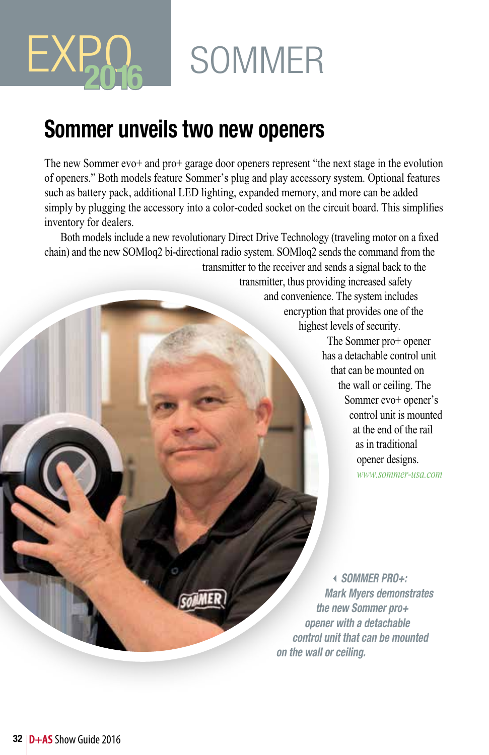## **SOMMER**

### **Sommer unveils two new openers**

EXPO<sub>2016</sub>

The new Sommer evo+ and pro+ garage door openers represent "the next stage in the evolution of openers." Both models feature Sommer's plug and play accessory system. Optional features such as battery pack, additional LED lighting, expanded memory, and more can be added simply by plugging the accessory into a color-coded socket on the circuit board. This simplifies inventory for dealers.

Both models include a new revolutionary Direct Drive Technology (traveling motor on a fixed chain) and the new SOMloq2 bi-directional radio system. SOMloq2 sends the command from the

transmitter to the receiver and sends a signal back to the

transmitter, thus providing increased safety and convenience. The system includes encryption that provides one of the highest levels of security. The Sommer pro+ opener has a detachable control unit that can be mounted on the wall or ceiling. The Sommer evo+ opener's control unit is mounted at the end of the rail as in traditional opener designs.

*www.sommer-usa.com*

3*SOMMER PRO+: Mark Myers demonstrates the new Sommer pro+ opener with a detachable control unit that can be mounted on the wall or ceiling.*